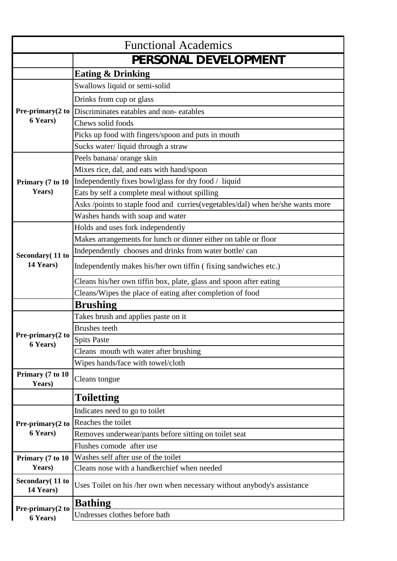| <b>Functional Academics</b>   |                                                                                |
|-------------------------------|--------------------------------------------------------------------------------|
|                               | PERSONAL DEVELOPMENT                                                           |
|                               | <b>Eating &amp; Drinking</b>                                                   |
|                               | Swallows liquid or semi-solid                                                  |
|                               | Drinks from cup or glass                                                       |
| Pre-primary(2 to              | Discriminates eatables and non-eatables                                        |
| 6 Years)                      | Chews solid foods                                                              |
|                               | Picks up food with fingers/spoon and puts in mouth                             |
|                               | Sucks water/liquid through a straw                                             |
|                               | Peels banana/ orange skin                                                      |
|                               | Mixes rice, dal, and eats with hand/spoon                                      |
| Primary (7 to 10              | Independently fixes bowl/glass for dry food / liquid                           |
| Years)                        | Eats by self a complete meal without spilling                                  |
|                               | Asks /points to staple food and curries(vegetables/dal) when he/she wants more |
|                               | Washes hands with soap and water                                               |
|                               | Holds and uses fork independently                                              |
|                               | Makes arrangements for lunch or dinner either on table or floor                |
| Secondary (11 to              | Independently chooses and drinks from water bottle/can                         |
| 14 Years)                     | Independently makes his/her own tiffin (fixing sandwiches etc.)                |
|                               | Cleans his/her own tiffin box, plate, glass and spoon after eating             |
|                               | Cleans/Wipes the place of eating after completion of food                      |
|                               | <b>Brushing</b>                                                                |
|                               | Takes brush and applies paste on it                                            |
| Pre-primary(2 to              | <b>Brushes</b> teeth                                                           |
| 6 Years)                      | <b>Spits Paste</b>                                                             |
|                               | Cleans mouth wth water after brushing                                          |
|                               | Wipes hands/face with towel/cloth                                              |
| Primary (7 to 10<br>Years)    | Cleans tongue                                                                  |
|                               | <b>Toiletting</b>                                                              |
|                               | Indicates need to go to toilet                                                 |
| Pre-primary(2 to              | Reaches the toilet                                                             |
| 6 Years)                      | Removes underwear/pants before sitting on toilet seat                          |
|                               | Flushes comode after use                                                       |
| Primary (7 to 10              | Washes self after use of the toilet                                            |
| Years)                        | Cleans nose with a handkerchief when needed                                    |
| Secondary (11 to<br>14 Years) | Uses Toilet on his /her own when necessary without anybody's assistance        |
|                               | <b>Bathing</b>                                                                 |
| Pre-primary(2 to<br>6 Years)  | Undresses clothes before bath                                                  |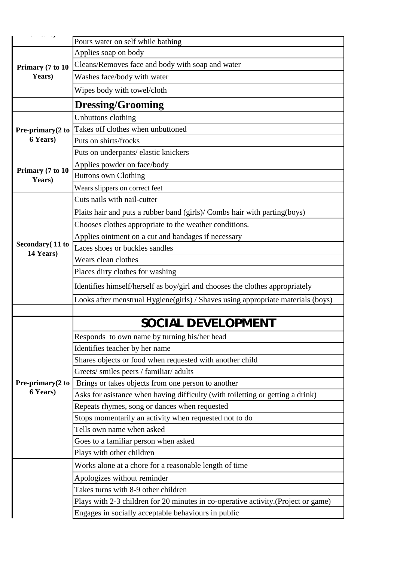|                              | Pours water on self while bathing                                                 |
|------------------------------|-----------------------------------------------------------------------------------|
|                              | Applies soap on body                                                              |
| Primary (7 to 10<br>Years)   | Cleans/Removes face and body with soap and water                                  |
|                              | Washes face/body with water                                                       |
|                              | Wipes body with towel/cloth                                                       |
|                              | <b>Dressing/Grooming</b>                                                          |
|                              | Unbuttons clothing                                                                |
|                              | Takes off clothes when unbuttoned                                                 |
| Pre-primary(2 to<br>6 Years) | Puts on shirts/frocks                                                             |
|                              | Puts on underpants/ elastic knickers                                              |
|                              |                                                                                   |
| Primary (7 to 10             | Applies powder on face/body<br><b>Buttons own Clothing</b>                        |
| Years)                       |                                                                                   |
|                              | Wears slippers on correct feet<br>Cuts nails with nail-cutter                     |
|                              |                                                                                   |
|                              | Plaits hair and puts a rubber band (girls)/ Combs hair with parting(boys)         |
|                              | Chooses clothes appropriate to the weather conditions.                            |
| Secondary (11 to             | Applies ointment on a cut and bandages if necessary                               |
| 14 Years)                    | Laces shoes or buckles sandles                                                    |
|                              | Wears clean clothes                                                               |
|                              | Places dirty clothes for washing                                                  |
|                              | Identifies himself/herself as boy/girl and chooses the clothes appropriately      |
|                              | Looks after menstrual Hygiene(girls) / Shaves using appropriate materials (boys)  |
|                              |                                                                                   |
|                              | SOCIAL DEVELOPMEN                                                                 |
|                              | Responds to own name by turning his/her head                                      |
|                              | Identifies teacher by her name                                                    |
|                              | Shares objects or food when requested with another child                          |
|                              | Greets/ smiles peers / familiar/ adults                                           |
| Pre-primary(2 to             | Brings or takes objects from one person to another                                |
| 6 Years)                     | Asks for asistance when having difficulty (with toiletting or getting a drink)    |
|                              | Repeats rhymes, song or dances when requested                                     |
|                              | Stops momentarily an activity when requested not to do                            |
|                              | Tells own name when asked                                                         |
|                              | Goes to a familiar person when asked                                              |
|                              | Plays with other children                                                         |
|                              | Works alone at a chore for a reasonable length of time                            |
|                              | Apologizes without reminder                                                       |
|                              | Takes turns with 8-9 other children                                               |
|                              | Plays with 2-3 children for 20 minutes in co-operative activity.(Project or game) |
|                              | Engages in socially acceptable behaviours in public                               |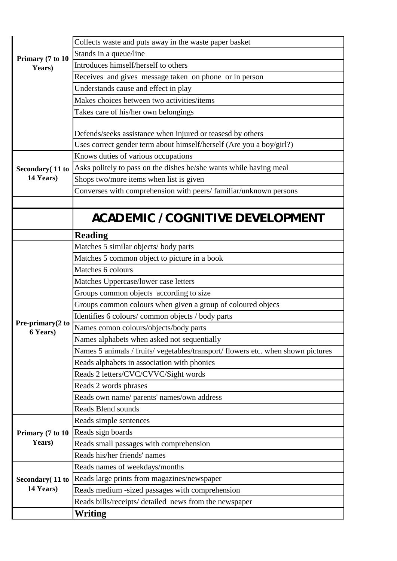| Primary (7 to 10<br>Years)<br>Secondary (11 to<br>14 Years) | Stands in a queue/line<br>Introduces himself/herself to others<br>Receives and gives message taken on phone or in person<br>Understands cause and effect in play<br>Makes choices between two activities/items<br>Takes care of his/her own belongings<br>Defends/seeks assistance when injured or teasesd by others<br>Uses correct gender term about himself/herself (Are you a boy/girl?)<br>Knows duties of various occupations<br>Asks politely to pass on the dishes he/she wants while having meal<br>Shops two/more items when list is given<br>Converses with comprehension with peers/familiar/unknown persons<br>ACADEMIC / COGNITIVE DEVELOPMENT<br><b>Reading</b><br>Matches 5 similar objects/body parts<br>Matches 5 common object to picture in a book |
|-------------------------------------------------------------|------------------------------------------------------------------------------------------------------------------------------------------------------------------------------------------------------------------------------------------------------------------------------------------------------------------------------------------------------------------------------------------------------------------------------------------------------------------------------------------------------------------------------------------------------------------------------------------------------------------------------------------------------------------------------------------------------------------------------------------------------------------------|
|                                                             |                                                                                                                                                                                                                                                                                                                                                                                                                                                                                                                                                                                                                                                                                                                                                                        |
|                                                             |                                                                                                                                                                                                                                                                                                                                                                                                                                                                                                                                                                                                                                                                                                                                                                        |
|                                                             |                                                                                                                                                                                                                                                                                                                                                                                                                                                                                                                                                                                                                                                                                                                                                                        |
|                                                             |                                                                                                                                                                                                                                                                                                                                                                                                                                                                                                                                                                                                                                                                                                                                                                        |
|                                                             |                                                                                                                                                                                                                                                                                                                                                                                                                                                                                                                                                                                                                                                                                                                                                                        |
|                                                             |                                                                                                                                                                                                                                                                                                                                                                                                                                                                                                                                                                                                                                                                                                                                                                        |
|                                                             |                                                                                                                                                                                                                                                                                                                                                                                                                                                                                                                                                                                                                                                                                                                                                                        |
|                                                             |                                                                                                                                                                                                                                                                                                                                                                                                                                                                                                                                                                                                                                                                                                                                                                        |
|                                                             |                                                                                                                                                                                                                                                                                                                                                                                                                                                                                                                                                                                                                                                                                                                                                                        |
|                                                             |                                                                                                                                                                                                                                                                                                                                                                                                                                                                                                                                                                                                                                                                                                                                                                        |
|                                                             |                                                                                                                                                                                                                                                                                                                                                                                                                                                                                                                                                                                                                                                                                                                                                                        |
|                                                             |                                                                                                                                                                                                                                                                                                                                                                                                                                                                                                                                                                                                                                                                                                                                                                        |
|                                                             |                                                                                                                                                                                                                                                                                                                                                                                                                                                                                                                                                                                                                                                                                                                                                                        |
|                                                             |                                                                                                                                                                                                                                                                                                                                                                                                                                                                                                                                                                                                                                                                                                                                                                        |
|                                                             |                                                                                                                                                                                                                                                                                                                                                                                                                                                                                                                                                                                                                                                                                                                                                                        |
|                                                             |                                                                                                                                                                                                                                                                                                                                                                                                                                                                                                                                                                                                                                                                                                                                                                        |
|                                                             |                                                                                                                                                                                                                                                                                                                                                                                                                                                                                                                                                                                                                                                                                                                                                                        |
|                                                             |                                                                                                                                                                                                                                                                                                                                                                                                                                                                                                                                                                                                                                                                                                                                                                        |
|                                                             | Matches 6 colours                                                                                                                                                                                                                                                                                                                                                                                                                                                                                                                                                                                                                                                                                                                                                      |
|                                                             | Matches Uppercase/lower case letters                                                                                                                                                                                                                                                                                                                                                                                                                                                                                                                                                                                                                                                                                                                                   |
|                                                             | Groups common objects according to size                                                                                                                                                                                                                                                                                                                                                                                                                                                                                                                                                                                                                                                                                                                                |
|                                                             | Groups common colours when given a group of coloured objecs                                                                                                                                                                                                                                                                                                                                                                                                                                                                                                                                                                                                                                                                                                            |
| Pre-primary(2 to                                            | Identifies 6 colours/common objects / body parts                                                                                                                                                                                                                                                                                                                                                                                                                                                                                                                                                                                                                                                                                                                       |
| 6 Years)                                                    | Names comon colours/objects/body parts                                                                                                                                                                                                                                                                                                                                                                                                                                                                                                                                                                                                                                                                                                                                 |
|                                                             | Names alphabets when asked not sequentially                                                                                                                                                                                                                                                                                                                                                                                                                                                                                                                                                                                                                                                                                                                            |
|                                                             | Names 5 animals / fruits/ vegetables/transport/ flowers etc. when shown pictures                                                                                                                                                                                                                                                                                                                                                                                                                                                                                                                                                                                                                                                                                       |
|                                                             | Reads alphabets in association with phonics                                                                                                                                                                                                                                                                                                                                                                                                                                                                                                                                                                                                                                                                                                                            |
|                                                             | Reads 2 letters/CVC/CVVC/Sight words                                                                                                                                                                                                                                                                                                                                                                                                                                                                                                                                                                                                                                                                                                                                   |
|                                                             | Reads 2 words phrases                                                                                                                                                                                                                                                                                                                                                                                                                                                                                                                                                                                                                                                                                                                                                  |
|                                                             | Reads own name/ parents' names/own address                                                                                                                                                                                                                                                                                                                                                                                                                                                                                                                                                                                                                                                                                                                             |
|                                                             | Reads Blend sounds                                                                                                                                                                                                                                                                                                                                                                                                                                                                                                                                                                                                                                                                                                                                                     |
|                                                             | Reads simple sentences                                                                                                                                                                                                                                                                                                                                                                                                                                                                                                                                                                                                                                                                                                                                                 |
| Primary (7 to 10                                            | Reads sign boards                                                                                                                                                                                                                                                                                                                                                                                                                                                                                                                                                                                                                                                                                                                                                      |
| Years)                                                      | Reads small passages with comprehension                                                                                                                                                                                                                                                                                                                                                                                                                                                                                                                                                                                                                                                                                                                                |
|                                                             | Reads his/her friends' names                                                                                                                                                                                                                                                                                                                                                                                                                                                                                                                                                                                                                                                                                                                                           |
|                                                             | Reads names of weekdays/months                                                                                                                                                                                                                                                                                                                                                                                                                                                                                                                                                                                                                                                                                                                                         |
| Secondary (11 to                                            | Reads large prints from magazines/newspaper                                                                                                                                                                                                                                                                                                                                                                                                                                                                                                                                                                                                                                                                                                                            |
| 14 Years)                                                   | Reads medium -sized passages with comprehension                                                                                                                                                                                                                                                                                                                                                                                                                                                                                                                                                                                                                                                                                                                        |
|                                                             | Reads bills/receipts/ detailed news from the newspaper                                                                                                                                                                                                                                                                                                                                                                                                                                                                                                                                                                                                                                                                                                                 |
|                                                             | Writing                                                                                                                                                                                                                                                                                                                                                                                                                                                                                                                                                                                                                                                                                                                                                                |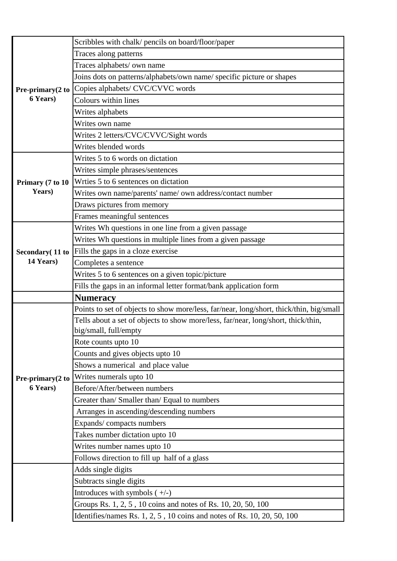|                  | Scribbles with chalk/ pencils on board/floor/paper                                                                                       |
|------------------|------------------------------------------------------------------------------------------------------------------------------------------|
|                  | Traces along patterns                                                                                                                    |
|                  | Traces alphabets/ own name                                                                                                               |
|                  | Joins dots on patterns/alphabets/own name/ specific picture or shapes                                                                    |
| Pre-primary(2 to | Copies alphabets/ CVC/CVVC words                                                                                                         |
| 6 Years)         | Colours within lines                                                                                                                     |
|                  | Writes alphabets                                                                                                                         |
|                  | Writes own name                                                                                                                          |
|                  | Writes 2 letters/CVC/CVVC/Sight words                                                                                                    |
|                  | Writes blended words                                                                                                                     |
|                  | Writes 5 to 6 words on dictation                                                                                                         |
|                  | Writes simple phrases/sentences                                                                                                          |
| Primary (7 to 10 | Wrties 5 to 6 sentences on dictation                                                                                                     |
| Years)           | Writes own name/parents' name/ own address/contact number                                                                                |
|                  | Draws pictures from memory                                                                                                               |
|                  | Frames meaningful sentences                                                                                                              |
|                  | Writes Wh questions in one line from a given passage                                                                                     |
|                  | Writes Wh questions in multiple lines from a given passage                                                                               |
| Secondary (11 to | Fills the gaps in a cloze exercise                                                                                                       |
| 14 Years)        | Completes a sentence                                                                                                                     |
|                  | Writes 5 to 6 sentences on a given topic/picture                                                                                         |
|                  |                                                                                                                                          |
|                  | Fills the gaps in an informal letter format/bank application form                                                                        |
|                  | <b>Numeracy</b>                                                                                                                          |
|                  | Points to set of objects to show more/less, far/near, long/short, thick/thin, big/small                                                  |
|                  | Tells about a set of objects to show more/less, far/near, long/short, thick/thin,                                                        |
|                  | big/small, full/empty                                                                                                                    |
|                  | Rote counts upto 10                                                                                                                      |
|                  | Counts and gives objects upto 10                                                                                                         |
|                  | Shows a numerical and place value                                                                                                        |
| Pre-primary(2 to | Writes numerals upto 10                                                                                                                  |
| 6 Years)         | Before/After/between numbers                                                                                                             |
|                  | Greater than/ Smaller than/ Equal to numbers                                                                                             |
|                  | Arranges in ascending/descending numbers                                                                                                 |
|                  | Expands/compacts numbers                                                                                                                 |
|                  | Takes number dictation upto 10                                                                                                           |
|                  | Writes number names upto 10                                                                                                              |
|                  | Follows direction to fill up half of a glass                                                                                             |
|                  | Adds single digits                                                                                                                       |
|                  | Subtracts single digits                                                                                                                  |
|                  | Introduces with symbols $(+/-)$                                                                                                          |
|                  | Groups Rs. 1, 2, 5, 10 coins and notes of Rs. 10, 20, 50, 100<br>Identifies/names Rs. 1, 2, 5, 10 coins and notes of Rs. 10, 20, 50, 100 |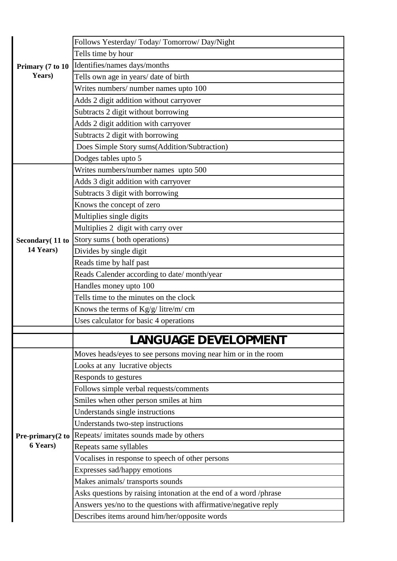|                              | Follows Yesterday/ Today/ Tomorrow/ Day/Night                     |
|------------------------------|-------------------------------------------------------------------|
|                              | Tells time by hour                                                |
| Primary (7 to 10             | Identifies/names days/months                                      |
| Years)                       | Tells own age in years/ date of birth                             |
|                              | Writes numbers/ number names upto 100                             |
|                              | Adds 2 digit addition without carryover                           |
|                              | Subtracts 2 digit without borrowing                               |
|                              | Adds 2 digit addition with carryover                              |
|                              | Subtracts 2 digit with borrowing                                  |
|                              | Does Simple Story sums(Addition/Subtraction)                      |
|                              | Dodges tables upto 5                                              |
|                              | Writes numbers/number names upto 500                              |
|                              | Adds 3 digit addition with carryover                              |
|                              | Subtracts 3 digit with borrowing                                  |
|                              | Knows the concept of zero                                         |
|                              | Multiplies single digits                                          |
|                              | Multiplies 2 digit with carry over                                |
| Secondary (11 to             | Story sums (both operations)                                      |
| 14 Years)                    | Divides by single digit                                           |
|                              | Reads time by half past                                           |
|                              | Reads Calender according to date/month/year                       |
|                              | Handles money upto 100                                            |
|                              | Tells time to the minutes on the clock                            |
|                              | Knows the terms of $\text{Kg/g}/\text{litre/m}/\text{cm}$         |
|                              | Uses calculator for basic 4 operations                            |
|                              | ANGUAGE DEVELOPMENT                                               |
|                              |                                                                   |
|                              | Moves heads/eyes to see persons moving near him or in the room    |
|                              | Looks at any lucrative objects                                    |
|                              | Responds to gestures                                              |
|                              | Follows simple verbal requests/comments                           |
|                              | Smiles when other person smiles at him                            |
|                              | Understands single instructions                                   |
|                              | Understands two-step instructions                                 |
| Pre-primary(2 to<br>6 Years) | Repeats/imitates sounds made by others                            |
|                              | Repeats same syllables                                            |
|                              | Vocalises in response to speech of other persons                  |
|                              | Expresses sad/happy emotions                                      |
|                              | Makes animals/transports sounds                                   |
|                              | Asks questions by raising intonation at the end of a word /phrase |
|                              | Answers yes/no to the questions with affirmative/negative reply   |
|                              | Describes items around him/her/opposite words                     |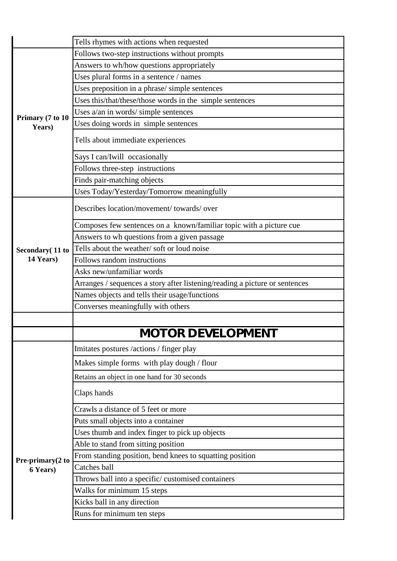|                  | Tells rhymes with actions when requested                                    |
|------------------|-----------------------------------------------------------------------------|
|                  | Follows two-step instructions without prompts                               |
|                  | Answers to wh/how questions appropriately                                   |
|                  | Uses plural forms in a sentence / names                                     |
|                  | Uses preposition in a phrase/ simple sentences                              |
|                  | Uses this/that/these/those words in the simple sentences                    |
| Primary (7 to 10 | Uses a/an in words/ simple sentences                                        |
| Years)           | Uses doing words in simple sentences                                        |
|                  | Tells about immediate experiences                                           |
|                  | Says I can/Iwill occasionally                                               |
|                  | Follows three-step instructions                                             |
|                  | Finds pair-matching objects                                                 |
|                  | Uses Today/Yesterday/Tomorrow meaningfully                                  |
|                  | Describes location/movement/ towards/ over                                  |
|                  | Composes few sentences on a known/familiar topic with a picture cue         |
|                  | Answers to wh questions from a given passage                                |
| Secondary (11 to | Tells about the weather/soft or loud noise                                  |
| 14 Years)        | Follows random instructions                                                 |
|                  | Asks new/unfamiliar words                                                   |
|                  | Arranges / sequences a story after listening/reading a picture or sentences |
|                  | Names objects and tells their usage/functions                               |
|                  | Converses meaningfully with others                                          |
|                  |                                                                             |
|                  | MOTOR DEVELOPMENT                                                           |
|                  | Imitates postures /actions / finger play                                    |
|                  | Makes simple forms with play dough / flour                                  |
|                  | Retains an object in one hand for 30 seconds                                |
|                  | Claps hands                                                                 |
|                  | Crawls a distance of 5 feet or more                                         |
|                  | Puts small objects into a container                                         |
|                  | Uses thumb and index finger to pick up objects                              |
|                  | Able to stand from sitting position                                         |
| Pre-primary(2 to | From standing position, bend knees to squatting position                    |
| 6 Years)         | Catches ball                                                                |
|                  | Throws ball into a specific/ customised containers                          |
|                  | Walks for minimum 15 steps                                                  |
|                  | Kicks ball in any direction                                                 |
|                  | Runs for minimum ten steps                                                  |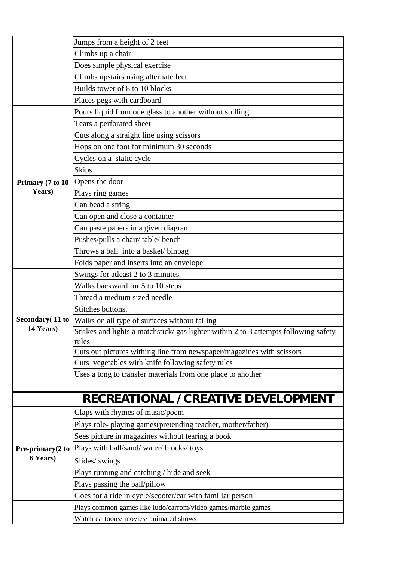|                  | Jumps from a height of 2 feet                                                        |
|------------------|--------------------------------------------------------------------------------------|
|                  | Climbs up a chair                                                                    |
|                  | Does simple physical exercise                                                        |
|                  | Climbs upstairs using alternate feet                                                 |
|                  | Builds tower of 8 to 10 blocks                                                       |
|                  | Places pegs with cardboard                                                           |
|                  | Pours liquid from one glass to another without spilling                              |
|                  | Tears a perforated sheet                                                             |
|                  | Cuts along a straight line using scissors                                            |
|                  | Hops on one foot for minimum 30 seconds                                              |
|                  | Cycles on a static cycle                                                             |
|                  | <b>Skips</b>                                                                         |
| Primary (7 to 10 | Opens the door                                                                       |
| Years)           | Plays ring games                                                                     |
|                  | Can bead a string                                                                    |
|                  | Can open and close a container                                                       |
|                  | Can paste papers in a given diagram                                                  |
|                  | Pushes/pulls a chair/table/bench                                                     |
|                  | Throws a ball into a basket/ binbag                                                  |
|                  | Folds paper and inserts into an envelope                                             |
|                  | Swings for atleast 2 to 3 minutes                                                    |
|                  | Walks backward for 5 to 10 steps                                                     |
|                  | Thread a medium sized needle                                                         |
|                  | Stitches buttons.                                                                    |
| Secondary (11 to | Walks on all type of surfaces without falling                                        |
| 14 Years)        | Strikes and lights a matchstick/ gas lighter within 2 to 3 attempts following safety |
|                  | rules                                                                                |
|                  | Cuts out pictures withing line from newspaper/magazines with scissors                |
|                  | Cuts vegetables with knife following safety rules                                    |
|                  | Uses a tong to transfer materials from one place to another                          |
|                  |                                                                                      |
|                  | RECREATIONAL / CREATIVE DEVELOPMENT                                                  |
|                  | Claps with rhymes of music/poem                                                      |
|                  | Plays role- playing games(pretending teacher, mother/father)                         |
|                  | Sees picture in magazines without tearing a book                                     |
| Pre-primary(2 to | Plays with ball/sand/ water/ blocks/ toys                                            |
| 6 Years)         | Slides/ swings                                                                       |
|                  | Plays running and catching / hide and seek                                           |
|                  | Plays passing the ball/pillow                                                        |
|                  | Goes for a ride in cycle/scooter/car with familiar person                            |
|                  | Plays common games like ludo/carrom/video games/marble games                         |
|                  | Watch cartoons/ movies/ animated shows                                               |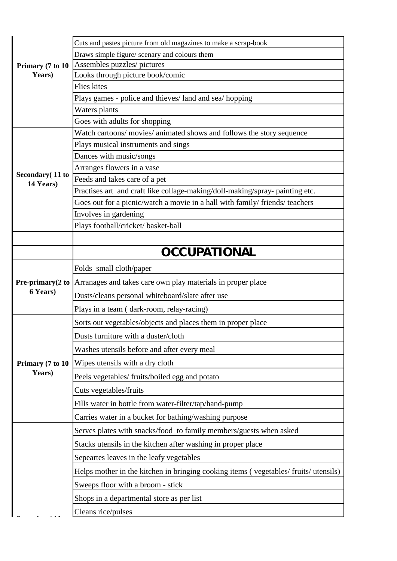| Primary (7 to 10<br>Years) | Cuts and pastes picture from old magazines to make a scrap-book                    |
|----------------------------|------------------------------------------------------------------------------------|
|                            | Draws simple figure/ scenary and colours them                                      |
|                            | Assembles puzzles/ pictures                                                        |
|                            | Looks through picture book/comic                                                   |
|                            | <b>Flies</b> kites                                                                 |
|                            | Plays games - police and thieves/land and sea/hopping                              |
|                            | Waters plants                                                                      |
|                            | Goes with adults for shopping                                                      |
|                            | Watch cartoons/movies/animated shows and follows the story sequence                |
|                            | Plays musical instruments and sings                                                |
|                            | Dances with music/songs                                                            |
| Secondary (11 to           | Arranges flowers in a vase                                                         |
| 14 Years)                  | Feeds and takes care of a pet                                                      |
|                            | Practises art and craft like collage-making/doll-making/spray- painting etc.       |
|                            | Goes out for a picnic/watch a movie in a hall with family/ friends/ teachers       |
|                            | Involves in gardening                                                              |
|                            | Plays football/cricket/ basket-ball                                                |
|                            |                                                                                    |
|                            | OCCUPATIONAL                                                                       |
|                            | Folds small cloth/paper                                                            |
| Pre-primary(2 to           | Arranages and takes care own play materials in proper place                        |
| 6 Years)                   | Dusts/cleans personal whiteboard/slate after use                                   |
|                            | Plays in a team (dark-room, relay-racing)                                          |
|                            | Sorts out vegetables/objects and places them in proper place                       |
|                            | Dusts furniture with a duster/cloth                                                |
|                            | Washes utensils before and after every meal                                        |
| Primary (7 to 10           | Wipes utensils with a dry cloth                                                    |
| Years)                     | Peels vegetables/ fruits/boiled egg and potato                                     |
|                            | Cuts vegetables/fruits                                                             |
|                            | Fills water in bottle from water-filter/tap/hand-pump                              |
|                            | Carries water in a bucket for bathing/washing purpose                              |
|                            | Serves plates with snacks/food to family members/guests when asked                 |
|                            | Stacks utensils in the kitchen after washing in proper place                       |
|                            | Sepeartes leaves in the leafy vegetables                                           |
|                            | Helps mother in the kitchen in bringing cooking items (vegetables/fruits/utensils) |
|                            | Sweeps floor with a broom - stick                                                  |
|                            | Shops in a departmental store as per list                                          |
|                            | Cleans rice/pulses                                                                 |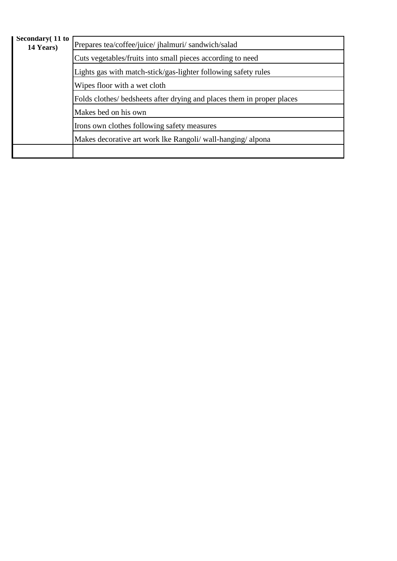| Secondary (11 to<br>14 Years) | Prepares tea/coffee/juice/ jhalmuri/ sandwich/salad                    |
|-------------------------------|------------------------------------------------------------------------|
|                               | Cuts vegetables/fruits into small pieces according to need             |
|                               | Lights gas with match-stick/gas-lighter following safety rules         |
|                               | Wipes floor with a wet cloth                                           |
|                               | Folds clothes/ bedsheets after drying and places them in proper places |
|                               | Makes bed on his own                                                   |
|                               | Irons own clothes following safety measures                            |
|                               | Makes decorative art work lke Rangoli/ wall-hanging/alpona             |
|                               |                                                                        |